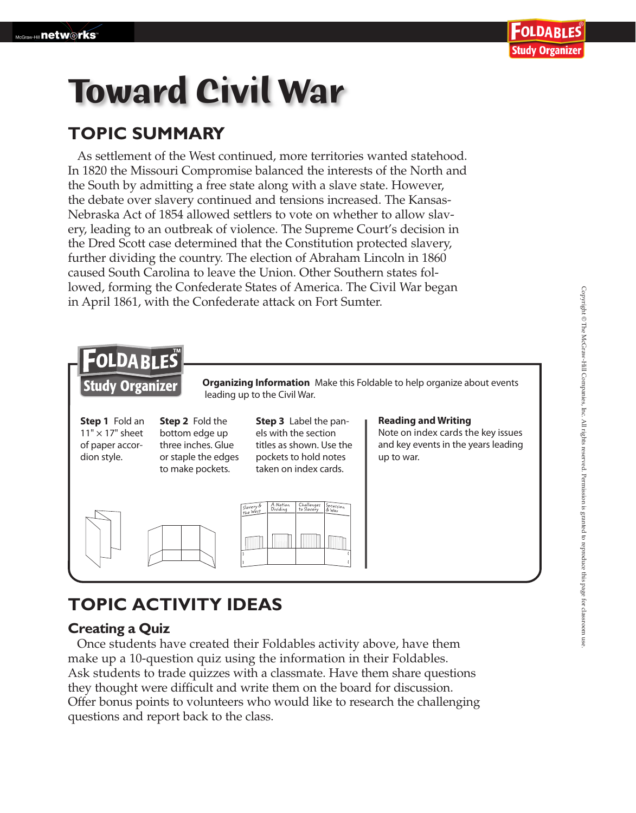# **Toward Civil War**

## **TOPIC SUMMARY**

As settlement of the West continued, more territories wanted statehood. In 1820 the Missouri Compromise balanced the interests of the North and the South by admitting a free state along with a slave state. However, the debate over slavery continued and tensions increased. The Kansas-Nebraska Act of 1854 allowed settlers to vote on whether to allow slavery, leading to an outbreak of violence. The Supreme Court's decision in the Dred Scott case determined that the Constitution protected slavery, further dividing the country. The election of Abraham Lincoln in 1860 caused South Carolina to leave the Union. Other Southern states followed, forming the Confederate States of America. The Civil War began in April 1861, with the Confederate attack on Fort Sumter.



## **TOPIC ACTIVITY IDEAS**

### **Creating a Quiz**

Once students have created their Foldables activity above, have them make up a 10-question quiz using the information in their Foldables. Ask students to trade quizzes with a classmate. Have them share questions they thought were difficult and write them on the board for discussion. Offer bonus points to volunteers who would like to research the challenging questions and report back to the class.